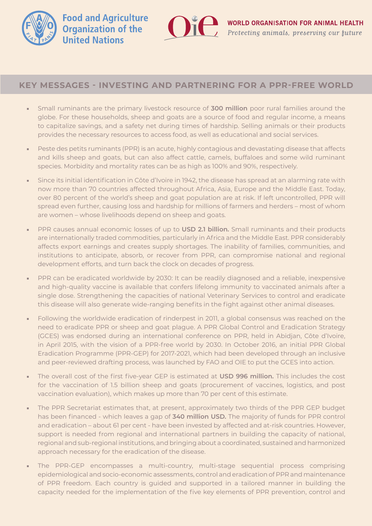



## **KEY MESSAGES - INVESTING AND PARTNERING FOR A PPR-FREE WORLD**

- Small ruminants are the primary livestock resource of **300 million** poor rural families around the globe. For these households, sheep and goats are a source of food and regular income, a means to capitalize savings, and a safety net during times of hardship. Selling animals or their products provides the necessary resources to access food, as well as educational and social services.
- Peste des petits ruminants (PPR) is an acute, highly contagious and devastating disease that affects and kills sheep and goats, but can also affect cattle, camels, buffaloes and some wild ruminant species. Morbidity and mortality rates can be as high as 100% and 90%, respectively.
- Since its initial identification in Côte d'Ivoire in 1942, the disease has spread at an alarming rate with now more than 70 countries affected throughout Africa, Asia, Europe and the Middle East. Today, over 80 percent of the world's sheep and goat population are at risk. If left uncontrolled, PPR will spread even further, causing loss and hardship for millions of farmers and herders – most of whom are women – whose livelihoods depend on sheep and goats.
- PPR causes annual economic losses of up to **USD 2.1 billion.** Small ruminants and their products are internationally traded commodities, particularly in Africa and the Middle East. PPR considerably affects export earnings and creates supply shortages. The inability of families, communities, and institutions to anticipate, absorb, or recover from PPR, can compromise national and regional development efforts, and turn back the clock on decades of progress.
- PPR can be eradicated worldwide by 2030: It can be readily diagnosed and a reliable, inexpensive and high-quality vaccine is available that confers lifelong immunity to vaccinated animals after a single dose. Strengthening the capacities of national Veterinary Services to control and eradicate this disease will also generate wide-ranging benefits in the fight against other animal diseases.
- Following the worldwide eradication of rinderpest in 2011, a global consensus was reached on the need to eradicate PPR or sheep and goat plague. A PPR Global Control and Eradication Strategy (GCES) was endorsed during an international conference on PPR, held in Abidjan, Côte d'Ivoire, in April 2015, with the vision of a PPR-free world by 2030. In October 2016, an initial PPR Global Eradication Programme (PPR-GEP) for 2017-2021, which had been developed through an inclusive and peer-reviewed drafting process, was launched by FAO and OIE to put the GCES into action.
- The overall cost of the first five-year GEP is estimated at **USD 996 million.** This includes the cost for the vaccination of 1.5 billion sheep and goats (procurement of vaccines, logistics, and post vaccination evaluation), which makes up more than 70 per cent of this estimate.
- The PPR Secretariat estimates that, at present, approximately two thirds of the PPR GEP budget has been financed - which leaves a gap of **340 million USD.** The majority of funds for PPR control and eradication – about 61 per cent - have been invested by affected and at-risk countries. However, support is needed from regional and international partners in building the capacity of national, regional and sub-regional institutions, and bringing about a coordinated, sustained and harmonized approach necessary for the eradication of the disease.
- The PPR-GEP encompasses a multi-country, multi-stage sequential process comprising epidemiological and socio-economic assessments, control and eradication of PPR and maintenance of PPR freedom. Each country is guided and supported in a tailored manner in building the capacity needed for the implementation of the five key elements of PPR prevention, control and